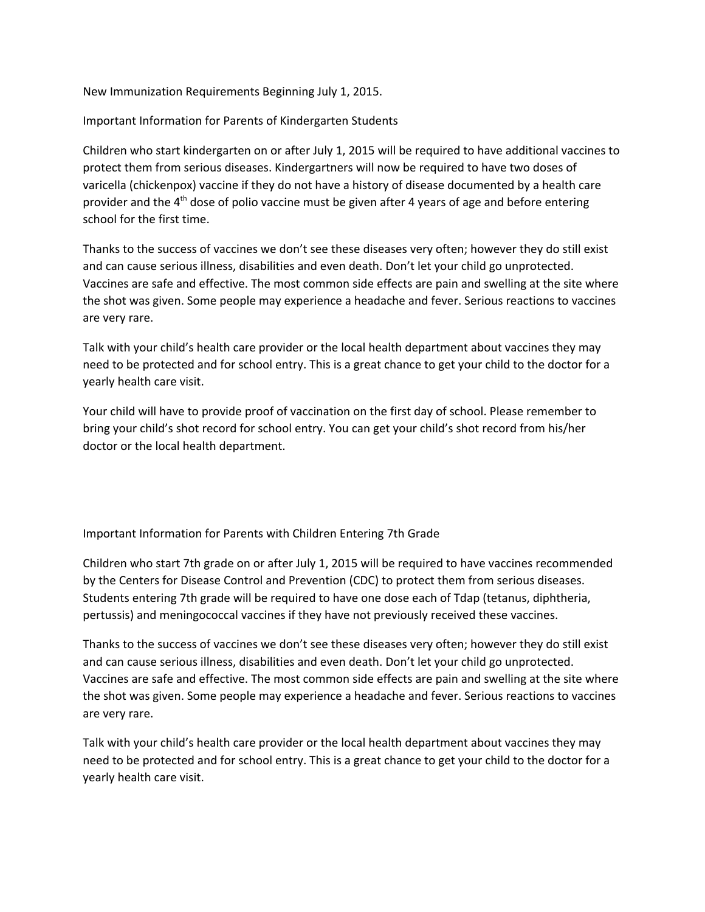New Immunization Requirements Beginning July 1, 2015.

Important Information for Parents of Kindergarten Students

Children who start kindergarten on or after July 1, 2015 will be required to have additional vaccines to protect them from serious diseases. Kindergartners will now be required to have two doses of varicella (chickenpox) vaccine if they do not have a history of disease documented by a health care provider and the  $4<sup>th</sup>$  dose of polio vaccine must be given after 4 years of age and before entering school for the first time.

Thanks to the success of vaccines we don't see these diseases very often; however they do still exist and can cause serious illness, disabilities and even death. Don't let your child go unprotected. Vaccines are safe and effective. The most common side effects are pain and swelling at the site where the shot was given. Some people may experience a headache and fever. Serious reactions to vaccines are very rare.

Talk with your child's health care provider or the local health department about vaccines they may need to be protected and for school entry. This is a great chance to get your child to the doctor for a yearly health care visit.

Your child will have to provide proof of vaccination on the first day of school. Please remember to bring your child's shot record for school entry. You can get your child's shot record from his/her doctor or the local health department.

Important Information for Parents with Children Entering 7th Grade

Children who start 7th grade on or after July 1, 2015 will be required to have vaccines recommended by the Centers for Disease Control and Prevention (CDC) to protect them from serious diseases. Students entering 7th grade will be required to have one dose each of Tdap (tetanus, diphtheria, pertussis) and meningococcal vaccines if they have not previously received these vaccines.

Thanks to the success of vaccines we don't see these diseases very often; however they do still exist and can cause serious illness, disabilities and even death. Don't let your child go unprotected. Vaccines are safe and effective. The most common side effects are pain and swelling at the site where the shot was given. Some people may experience a headache and fever. Serious reactions to vaccines are very rare.

Talk with your child's health care provider or the local health department about vaccines they may need to be protected and for school entry. This is a great chance to get your child to the doctor for a yearly health care visit.